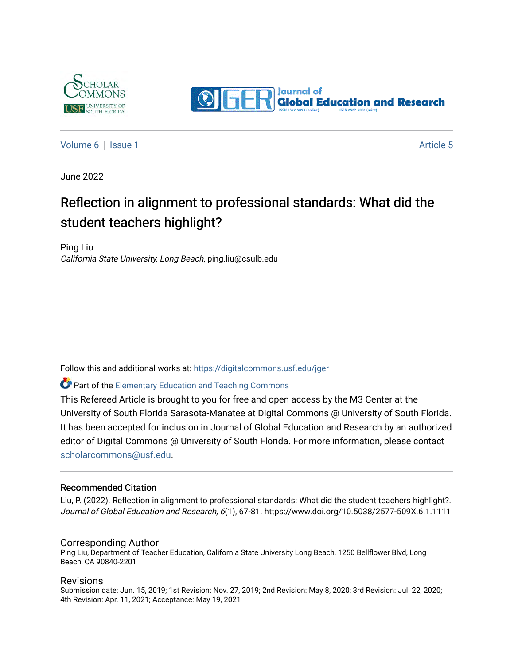



[Volume 6](https://digitalcommons.usf.edu/jger/vol6) | [Issue 1](https://digitalcommons.usf.edu/jger/vol6/iss1) Article 5

June 2022

# Reflection in alignment to professional standards: What did the student teachers highlight?

Ping Liu California State University, Long Beach, ping.liu@csulb.edu

Follow this and additional works at: [https://digitalcommons.usf.edu/jger](https://digitalcommons.usf.edu/jger?utm_source=digitalcommons.usf.edu%2Fjger%2Fvol6%2Fiss1%2F5&utm_medium=PDF&utm_campaign=PDFCoverPages) 

#### **C**<sup> $\bullet$ </sup> Part of the Elementary Education and Teaching Commons

This Refereed Article is brought to you for free and open access by the M3 Center at the University of South Florida Sarasota-Manatee at Digital Commons @ University of South Florida. It has been accepted for inclusion in Journal of Global Education and Research by an authorized editor of Digital Commons @ University of South Florida. For more information, please contact [scholarcommons@usf.edu.](mailto:scholarcommons@usf.edu)

#### Recommended Citation

Liu, P. (2022). Reflection in alignment to professional standards: What did the student teachers highlight?. Journal of Global Education and Research, 6(1), 67-81. https://www.doi.org/10.5038/2577-509X.6.1.1111

#### Corresponding Author

Ping Liu, Department of Teacher Education, California State University Long Beach, 1250 Bellflower Blvd, Long Beach, CA 90840-2201

#### Revisions

Submission date: Jun. 15, 2019; 1st Revision: Nov. 27, 2019; 2nd Revision: May 8, 2020; 3rd Revision: Jul. 22, 2020; 4th Revision: Apr. 11, 2021; Acceptance: May 19, 2021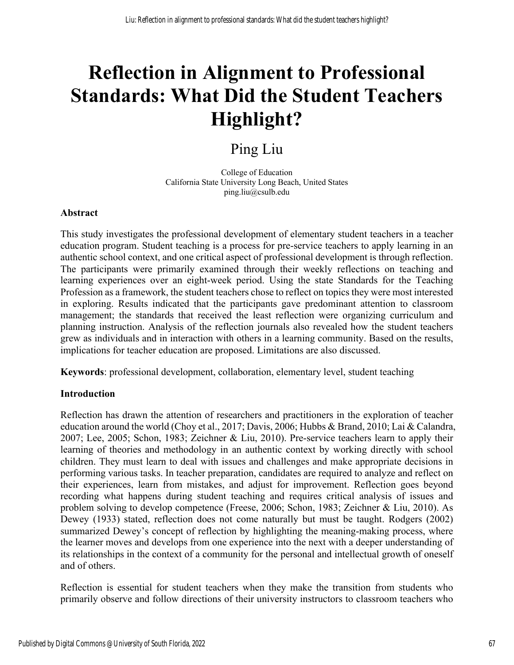# **Reflection in Alignment to Professional Standards: What Did the Student Teachers Highlight?**

# Ping Liu

College of Education California State University Long Beach, United States ping.liu@csulb.edu

#### **Abstract**

This study investigates the professional development of elementary student teachers in a teacher education program. Student teaching is a process for pre-service teachers to apply learning in an authentic school context, and one critical aspect of professional development is through reflection. The participants were primarily examined through their weekly reflections on teaching and learning experiences over an eight-week period. Using the state Standards for the Teaching Profession as a framework, the student teachers chose to reflect on topics they were most interested in exploring. Results indicated that the participants gave predominant attention to classroom management; the standards that received the least reflection were organizing curriculum and planning instruction. Analysis of the reflection journals also revealed how the student teachers grew as individuals and in interaction with others in a learning community. Based on the results, implications for teacher education are proposed. Limitations are also discussed.

**Keywords**: professional development, collaboration, elementary level, student teaching

#### **Introduction**

Reflection has drawn the attention of researchers and practitioners in the exploration of teacher education around the world (Choy et al., 2017; Davis, 2006; Hubbs & Brand, 2010; Lai & Calandra, 2007; Lee, 2005; Schon, 1983; Zeichner & Liu, 2010). Pre-service teachers learn to apply their learning of theories and methodology in an authentic context by working directly with school children. They must learn to deal with issues and challenges and make appropriate decisions in performing various tasks. In teacher preparation, candidates are required to analyze and reflect on their experiences, learn from mistakes, and adjust for improvement. Reflection goes beyond recording what happens during student teaching and requires critical analysis of issues and problem solving to develop competence (Freese, 2006; Schon, 1983; Zeichner & Liu, 2010). As Dewey (1933) stated, reflection does not come naturally but must be taught. Rodgers (2002) summarized Dewey's concept of reflection by highlighting the meaning-making process, where the learner moves and develops from one experience into the next with a deeper understanding of its relationships in the context of a community for the personal and intellectual growth of oneself and of others.

Reflection is essential for student teachers when they make the transition from students who primarily observe and follow directions of their university instructors to classroom teachers who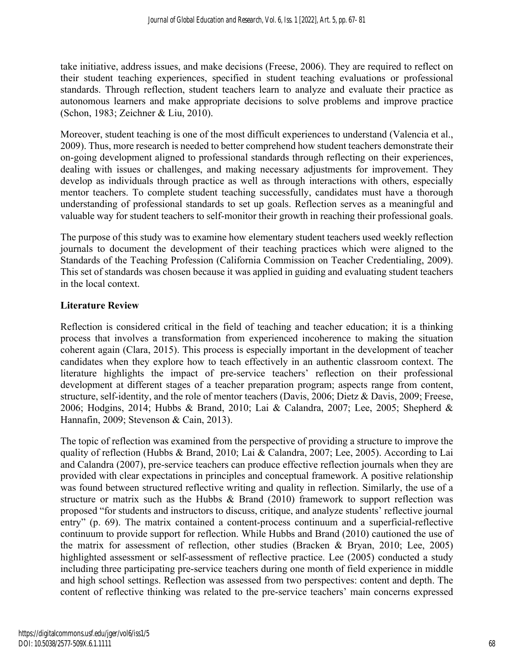take initiative, address issues, and make decisions (Freese, 2006). They are required to reflect on their student teaching experiences, specified in student teaching evaluations or professional standards. Through reflection, student teachers learn to analyze and evaluate their practice as autonomous learners and make appropriate decisions to solve problems and improve practice (Schon, 1983; Zeichner & Liu, 2010).

Moreover, student teaching is one of the most difficult experiences to understand (Valencia et al., 2009). Thus, more research is needed to better comprehend how student teachers demonstrate their on-going development aligned to professional standards through reflecting on their experiences, dealing with issues or challenges, and making necessary adjustments for improvement. They develop as individuals through practice as well as through interactions with others, especially mentor teachers. To complete student teaching successfully, candidates must have a thorough understanding of professional standards to set up goals. Reflection serves as a meaningful and valuable way for student teachers to self-monitor their growth in reaching their professional goals.

The purpose of this study was to examine how elementary student teachers used weekly reflection journals to document the development of their teaching practices which were aligned to the Standards of the Teaching Profession (California Commission on Teacher Credentialing, 2009). This set of standards was chosen because it was applied in guiding and evaluating student teachers in the local context.

## **Literature Review**

Reflection is considered critical in the field of teaching and teacher education; it is a thinking process that involves a transformation from experienced incoherence to making the situation coherent again (Clara, 2015). This process is especially important in the development of teacher candidates when they explore how to teach effectively in an authentic classroom context. The literature highlights the impact of pre-service teachers' reflection on their professional development at different stages of a teacher preparation program; aspects range from content, structure, self-identity, and the role of mentor teachers (Davis, 2006; Dietz & Davis, 2009; Freese, 2006; Hodgins, 2014; Hubbs & Brand, 2010; Lai & Calandra, 2007; Lee, 2005; Shepherd & Hannafin, 2009; Stevenson & Cain, 2013).

The topic of reflection was examined from the perspective of providing a structure to improve the quality of reflection (Hubbs & Brand, 2010; Lai & Calandra, 2007; Lee, 2005). According to Lai and Calandra (2007), pre-service teachers can produce effective reflection journals when they are provided with clear expectations in principles and conceptual framework. A positive relationship was found between structured reflective writing and quality in reflection. Similarly, the use of a structure or matrix such as the Hubbs  $\&$  Brand (2010) framework to support reflection was proposed "for students and instructors to discuss, critique, and analyze students' reflective journal entry" (p. 69). The matrix contained a content-process continuum and a superficial-reflective continuum to provide support for reflection. While Hubbs and Brand (2010) cautioned the use of the matrix for assessment of reflection, other studies (Bracken & Bryan, 2010; Lee, 2005) highlighted assessment or self-assessment of reflective practice. Lee (2005) conducted a study including three participating pre-service teachers during one month of field experience in middle and high school settings. Reflection was assessed from two perspectives: content and depth. The content of reflective thinking was related to the pre-service teachers' main concerns expressed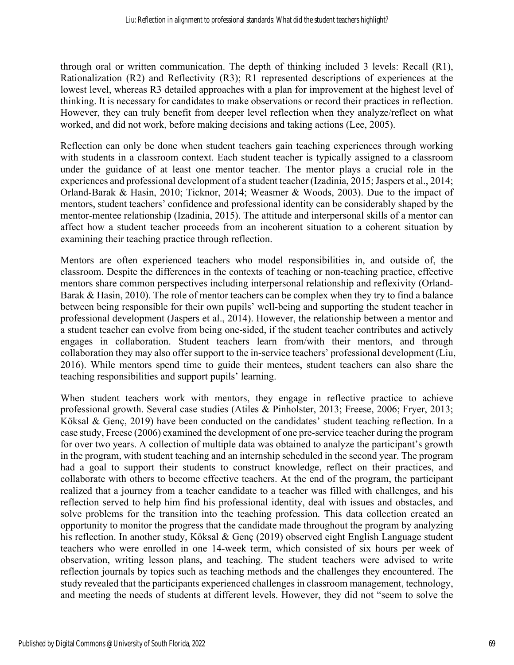through oral or written communication. The depth of thinking included 3 levels: Recall (R1), Rationalization (R2) and Reflectivity (R3); R1 represented descriptions of experiences at the lowest level, whereas R3 detailed approaches with a plan for improvement at the highest level of thinking. It is necessary for candidates to make observations or record their practices in reflection. However, they can truly benefit from deeper level reflection when they analyze/reflect on what worked, and did not work, before making decisions and taking actions (Lee, 2005).

Reflection can only be done when student teachers gain teaching experiences through working with students in a classroom context. Each student teacher is typically assigned to a classroom under the guidance of at least one mentor teacher. The mentor plays a crucial role in the experiences and professional development of a student teacher (Izadinia, 2015; Jaspers et al., 2014; Orland-Barak & Hasin, 2010; Ticknor, 2014; Weasmer & Woods, 2003). Due to the impact of mentors, student teachers' confidence and professional identity can be considerably shaped by the mentor-mentee relationship (Izadinia, 2015). The attitude and interpersonal skills of a mentor can affect how a student teacher proceeds from an incoherent situation to a coherent situation by examining their teaching practice through reflection.

Mentors are often experienced teachers who model responsibilities in, and outside of, the classroom. Despite the differences in the contexts of teaching or non-teaching practice, effective mentors share common perspectives including interpersonal relationship and reflexivity (Orland-Barak & Hasin, 2010). The role of mentor teachers can be complex when they try to find a balance between being responsible for their own pupils' well-being and supporting the student teacher in professional development (Jaspers et al., 2014). However, the relationship between a mentor and a student teacher can evolve from being one-sided, if the student teacher contributes and actively engages in collaboration. Student teachers learn from/with their mentors, and through collaboration they may also offer support to the in-service teachers' professional development (Liu, 2016). While mentors spend time to guide their mentees, student teachers can also share the teaching responsibilities and support pupils' learning.

When student teachers work with mentors, they engage in reflective practice to achieve professional growth. Several case studies (Atiles & Pinholster, 2013; Freese, 2006; Fryer, 2013; Köksal & Genç, 2019) have been conducted on the candidates' student teaching reflection. In a case study, Freese (2006) examined the development of one pre-service teacher during the program for over two years. A collection of multiple data was obtained to analyze the participant's growth in the program, with student teaching and an internship scheduled in the second year. The program had a goal to support their students to construct knowledge, reflect on their practices, and collaborate with others to become effective teachers. At the end of the program, the participant realized that a journey from a teacher candidate to a teacher was filled with challenges, and his reflection served to help him find his professional identity, deal with issues and obstacles, and solve problems for the transition into the teaching profession. This data collection created an opportunity to monitor the progress that the candidate made throughout the program by analyzing his reflection. In another study, Köksal & Genç (2019) observed eight English Language student teachers who were enrolled in one 14-week term, which consisted of six hours per week of observation, writing lesson plans, and teaching. The student teachers were advised to write reflection journals by topics such as teaching methods and the challenges they encountered. The study revealed that the participants experienced challenges in classroom management, technology, and meeting the needs of students at different levels. However, they did not "seem to solve the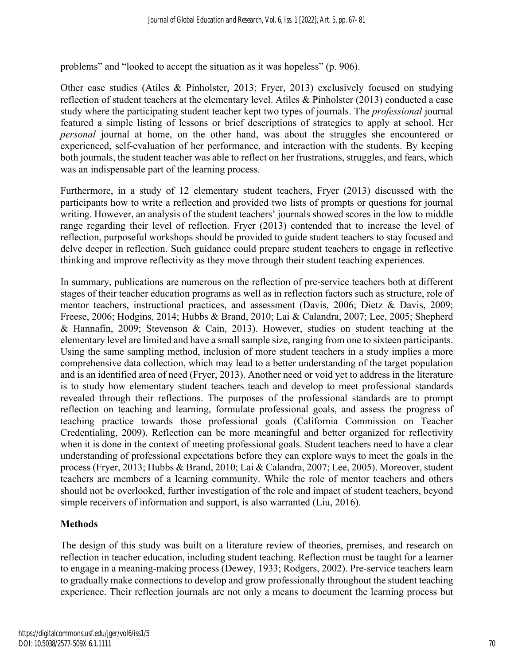problems" and "looked to accept the situation as it was hopeless" (p. 906).

Other case studies (Atiles & Pinholster, 2013; Fryer, 2013) exclusively focused on studying reflection of student teachers at the elementary level. Atiles & Pinholster (2013) conducted a case study where the participating student teacher kept two types of journals. The *professional* journal featured a simple listing of lessons or brief descriptions of strategies to apply at school. Her *personal* journal at home, on the other hand, was about the struggles she encountered or experienced, self-evaluation of her performance, and interaction with the students. By keeping both journals, the student teacher was able to reflect on her frustrations, struggles, and fears, which was an indispensable part of the learning process.

Furthermore, in a study of 12 elementary student teachers, Fryer (2013) discussed with the participants how to write a reflection and provided two lists of prompts or questions for journal writing. However, an analysis of the student teachers' journals showed scores in the low to middle range regarding their level of reflection. Fryer (2013) contended that to increase the level of reflection, purposeful workshops should be provided to guide student teachers to stay focused and delve deeper in reflection. Such guidance could prepare student teachers to engage in reflective thinking and improve reflectivity as they move through their student teaching experiences*.*

In summary, publications are numerous on the reflection of pre-service teachers both at different stages of their teacher education programs as well as in reflection factors such as structure, role of mentor teachers, instructional practices, and assessment (Davis, 2006; Dietz & Davis, 2009; Freese, 2006; Hodgins, 2014; Hubbs & Brand, 2010; Lai & Calandra, 2007; Lee, 2005; Shepherd & Hannafin, 2009; Stevenson & Cain, 2013). However, studies on student teaching at the elementary level are limited and have a small sample size, ranging from one to sixteen participants. Using the same sampling method, inclusion of more student teachers in a study implies a more comprehensive data collection, which may lead to a better understanding of the target population and is an identified area of need (Fryer, 2013). Another need or void yet to address in the literature is to study how elementary student teachers teach and develop to meet professional standards revealed through their reflections. The purposes of the professional standards are to prompt reflection on teaching and learning, formulate professional goals, and assess the progress of teaching practice towards those professional goals (California Commission on Teacher Credentialing, 2009). Reflection can be more meaningful and better organized for reflectivity when it is done in the context of meeting professional goals. Student teachers need to have a clear understanding of professional expectations before they can explore ways to meet the goals in the process (Fryer, 2013; Hubbs & Brand, 2010; Lai & Calandra, 2007; Lee, 2005). Moreover, student teachers are members of a learning community. While the role of mentor teachers and others should not be overlooked, further investigation of the role and impact of student teachers, beyond simple receivers of information and support, is also warranted (Liu, 2016).

#### **Methods**

The design of this study was built on a literature review of theories, premises, and research on reflection in teacher education, including student teaching. Reflection must be taught for a learner to engage in a meaning-making process (Dewey, 1933; Rodgers, 2002). Pre-service teachers learn to gradually make connections to develop and grow professionally throughout the student teaching experience. Their reflection journals are not only a means to document the learning process but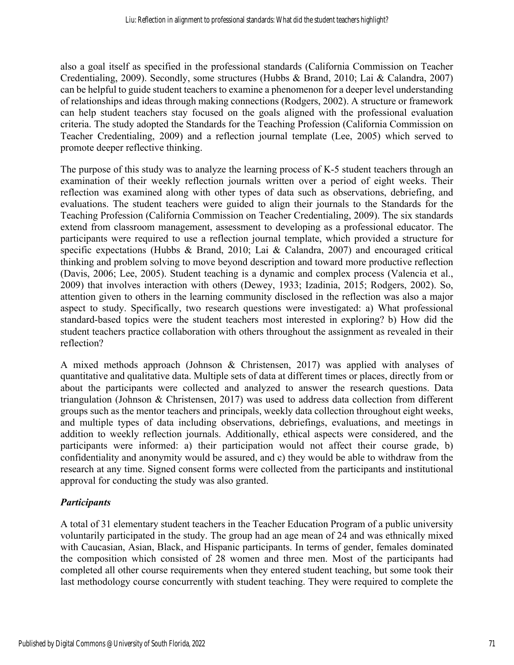also a goal itself as specified in the professional standards (California Commission on Teacher Credentialing, 2009). Secondly, some structures (Hubbs & Brand, 2010; Lai & Calandra, 2007) can be helpful to guide student teachers to examine a phenomenon for a deeper level understanding of relationships and ideas through making connections (Rodgers, 2002). A structure or framework can help student teachers stay focused on the goals aligned with the professional evaluation criteria. The study adopted the Standards for the Teaching Profession (California Commission on Teacher Credentialing, 2009) and a reflection journal template (Lee, 2005) which served to promote deeper reflective thinking.

The purpose of this study was to analyze the learning process of K-5 student teachers through an examination of their weekly reflection journals written over a period of eight weeks. Their reflection was examined along with other types of data such as observations, debriefing, and evaluations. The student teachers were guided to align their journals to the Standards for the Teaching Profession (California Commission on Teacher Credentialing, 2009). The six standards extend from classroom management, assessment to developing as a professional educator. The participants were required to use a reflection journal template, which provided a structure for specific expectations (Hubbs & Brand, 2010; Lai & Calandra, 2007) and encouraged critical thinking and problem solving to move beyond description and toward more productive reflection (Davis, 2006; Lee, 2005). Student teaching is a dynamic and complex process (Valencia et al., 2009) that involves interaction with others (Dewey, 1933; Izadinia, 2015; Rodgers, 2002). So, attention given to others in the learning community disclosed in the reflection was also a major aspect to study. Specifically, two research questions were investigated: a) What professional standard-based topics were the student teachers most interested in exploring? b) How did the student teachers practice collaboration with others throughout the assignment as revealed in their reflection?

A mixed methods approach (Johnson & Christensen, 2017) was applied with analyses of quantitative and qualitative data. Multiple sets of data at different times or places, directly from or about the participants were collected and analyzed to answer the research questions. Data triangulation (Johnson & Christensen, 2017) was used to address data collection from different groups such as the mentor teachers and principals, weekly data collection throughout eight weeks, and multiple types of data including observations, debriefings, evaluations, and meetings in addition to weekly reflection journals. Additionally, ethical aspects were considered, and the participants were informed: a) their participation would not affect their course grade, b) confidentiality and anonymity would be assured, and c) they would be able to withdraw from the research at any time. Signed consent forms were collected from the participants and institutional approval for conducting the study was also granted.

# *Participants*

A total of 31 elementary student teachers in the Teacher Education Program of a public university voluntarily participated in the study. The group had an age mean of 24 and was ethnically mixed with Caucasian, Asian, Black, and Hispanic participants. In terms of gender, females dominated the composition which consisted of 28 women and three men. Most of the participants had completed all other course requirements when they entered student teaching, but some took their last methodology course concurrently with student teaching. They were required to complete the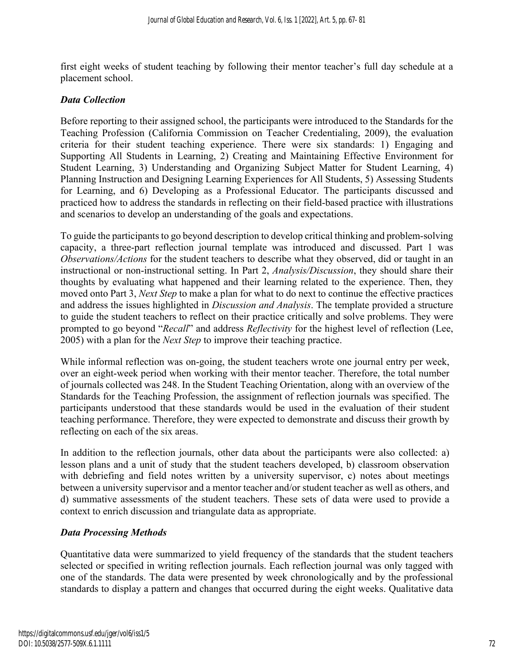first eight weeks of student teaching by following their mentor teacher's full day schedule at a placement school.

#### *Data Collection*

Before reporting to their assigned school, the participants were introduced to the Standards for the Teaching Profession (California Commission on Teacher Credentialing, 2009), the evaluation criteria for their student teaching experience. There were six standards: 1) Engaging and Supporting All Students in Learning, 2) Creating and Maintaining Effective Environment for Student Learning, 3) Understanding and Organizing Subject Matter for Student Learning, 4) Planning Instruction and Designing Learning Experiences for All Students, 5) Assessing Students for Learning, and 6) Developing as a Professional Educator. The participants discussed and practiced how to address the standards in reflecting on their field-based practice with illustrations and scenarios to develop an understanding of the goals and expectations.

To guide the participants to go beyond description to develop critical thinking and problem-solving capacity, a three-part reflection journal template was introduced and discussed. Part 1 was *Observations/Actions* for the student teachers to describe what they observed, did or taught in an instructional or non-instructional setting. In Part 2, *Analysis/Discussion*, they should share their thoughts by evaluating what happened and their learning related to the experience. Then, they moved onto Part 3, *Next Step* to make a plan for what to do next to continue the effective practices and address the issues highlighted in *Discussion and Analysis*. The template provided a structure to guide the student teachers to reflect on their practice critically and solve problems. They were prompted to go beyond "*Recall*" and address *Reflectivity* for the highest level of reflection (Lee, 2005) with a plan for the *Next Step* to improve their teaching practice.

While informal reflection was on-going, the student teachers wrote one journal entry per week, over an eight-week period when working with their mentor teacher. Therefore, the total number of journals collected was 248. In the Student Teaching Orientation, along with an overview of the Standards for the Teaching Profession, the assignment of reflection journals was specified. The participants understood that these standards would be used in the evaluation of their student teaching performance. Therefore, they were expected to demonstrate and discuss their growth by reflecting on each of the six areas.

In addition to the reflection journals, other data about the participants were also collected: a) lesson plans and a unit of study that the student teachers developed, b) classroom observation with debriefing and field notes written by a university supervisor, c) notes about meetings between a university supervisor and a mentor teacher and/or student teacher as well as others, and d) summative assessments of the student teachers. These sets of data were used to provide a context to enrich discussion and triangulate data as appropriate.

#### *Data Processing Methods*

Quantitative data were summarized to yield frequency of the standards that the student teachers selected or specified in writing reflection journals. Each reflection journal was only tagged with one of the standards. The data were presented by week chronologically and by the professional standards to display a pattern and changes that occurred during the eight weeks. Qualitative data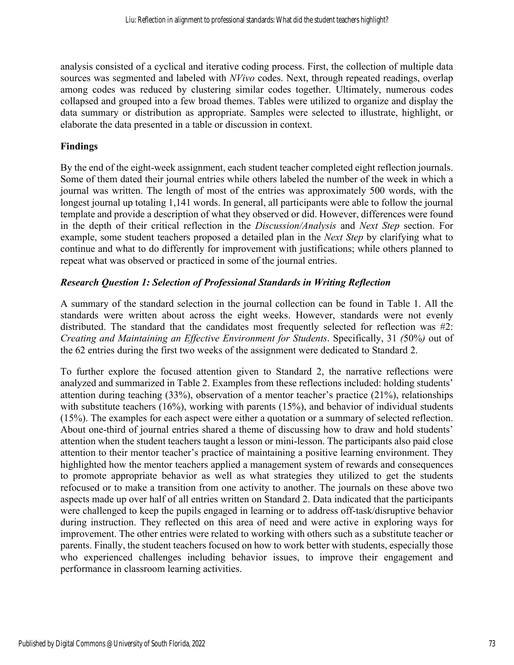analysis consisted of a cyclical and iterative coding process. First, the collection of multiple data sources was segmented and labeled with *NVivo* codes. Next, through repeated readings, overlap among codes was reduced by clustering similar codes together. Ultimately, numerous codes collapsed and grouped into a few broad themes. Tables were utilized to organize and display the data summary or distribution as appropriate. Samples were selected to illustrate, highlight, or elaborate the data presented in a table or discussion in context.

# **Findings**

By the end of the eight-week assignment, each student teacher completed eight reflection journals. Some of them dated their journal entries while others labeled the number of the week in which a journal was written. The length of most of the entries was approximately 500 words, with the longest journal up totaling 1,141 words. In general, all participants were able to follow the journal template and provide a description of what they observed or did. However, differences were found in the depth of their critical reflection in the *Discussion/Analysis* and *Next Step* section. For example, some student teachers proposed a detailed plan in the *Next Step* by clarifying what to continue and what to do differently for improvement with justifications; while others planned to repeat what was observed or practiced in some of the journal entries.

## *Research Question 1: Selection of Professional Standards in Writing Reflection*

A summary of the standard selection in the journal collection can be found in Table 1. All the standards were written about across the eight weeks. However, standards were not evenly distributed. The standard that the candidates most frequently selected for reflection was #2: *Creating and Maintaining an Effective Environment for Students*. Specifically, 31 *(*50%*)* out of the 62 entries during the first two weeks of the assignment were dedicated to Standard 2.

To further explore the focused attention given to Standard 2, the narrative reflections were analyzed and summarized in Table 2. Examples from these reflections included: holding students' attention during teaching (33%), observation of a mentor teacher's practice (21%), relationships with substitute teachers (16%), working with parents (15%), and behavior of individual students (15%). The examples for each aspect were either a quotation or a summary of selected reflection. About one-third of journal entries shared a theme of discussing how to draw and hold students' attention when the student teachers taught a lesson or mini-lesson. The participants also paid close attention to their mentor teacher's practice of maintaining a positive learning environment. They highlighted how the mentor teachers applied a management system of rewards and consequences to promote appropriate behavior as well as what strategies they utilized to get the students refocused or to make a transition from one activity to another. The journals on these above two aspects made up over half of all entries written on Standard 2. Data indicated that the participants were challenged to keep the pupils engaged in learning or to address off-task/disruptive behavior during instruction. They reflected on this area of need and were active in exploring ways for improvement. The other entries were related to working with others such as a substitute teacher or parents. Finally, the student teachers focused on how to work better with students, especially those who experienced challenges including behavior issues, to improve their engagement and performance in classroom learning activities.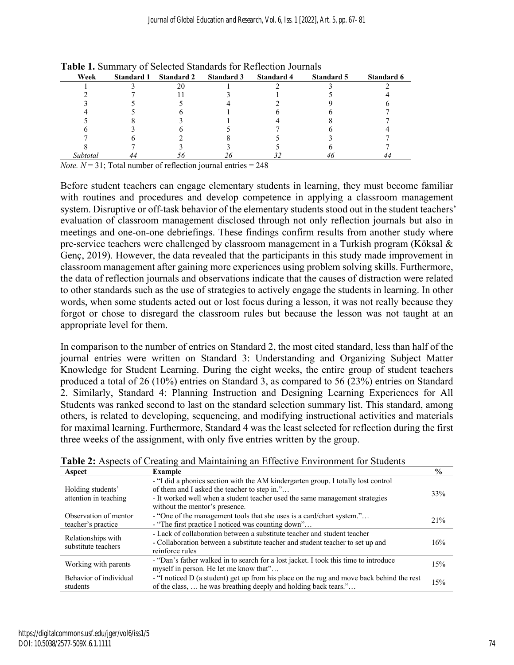| Week     | <b>Standard 1</b> | <b>Standard 2</b> | <b>Standard 3</b> | <b>Standard 4</b> | <b>Standard 5</b> | Standard 6 |
|----------|-------------------|-------------------|-------------------|-------------------|-------------------|------------|
|          |                   |                   |                   |                   |                   |            |
|          |                   |                   |                   |                   |                   |            |
|          |                   |                   |                   |                   |                   |            |
|          |                   |                   |                   |                   |                   |            |
|          |                   |                   |                   |                   |                   |            |
|          |                   |                   |                   |                   |                   |            |
|          |                   |                   |                   |                   |                   |            |
|          |                   |                   |                   |                   |                   |            |
| Subtotal |                   |                   |                   |                   |                   |            |

**Table 1.** Summary of Selected Standards for Reflection Journals

*Note.*  $N = 31$ ; Total number of reflection journal entries = 248

Before student teachers can engage elementary students in learning, they must become familiar with routines and procedures and develop competence in applying a classroom management system. Disruptive or off-task behavior of the elementary students stood out in the student teachers' evaluation of classroom management disclosed through not only reflection journals but also in meetings and one-on-one debriefings. These findings confirm results from another study where pre-service teachers were challenged by classroom management in a Turkish program (Köksal & Genç, 2019). However, the data revealed that the participants in this study made improvement in classroom management after gaining more experiences using problem solving skills. Furthermore, the data of reflection journals and observations indicate that the causes of distraction were related to other standards such as the use of strategies to actively engage the students in learning. In other words, when some students acted out or lost focus during a lesson, it was not really because they forgot or chose to disregard the classroom rules but because the lesson was not taught at an appropriate level for them.

In comparison to the number of entries on Standard 2, the most cited standard, less than half of the journal entries were written on Standard 3: Understanding and Organizing Subject Matter Knowledge for Student Learning. During the eight weeks, the entire group of student teachers produced a total of 26 (10%) entries on Standard 3, as compared to 56 (23%) entries on Standard 2. Similarly, Standard 4: Planning Instruction and Designing Learning Experiences for All Students was ranked second to last on the standard selection summary list. This standard, among others, is related to developing, sequencing, and modifying instructional activities and materials for maximal learning. Furthermore, Standard 4 was the least selected for reflection during the first three weeks of the assignment, with only five entries written by the group.

| Aspect                                      | <b>Example</b>                                                                                                                                                                                                                                     | $\frac{0}{0}$ |
|---------------------------------------------|----------------------------------------------------------------------------------------------------------------------------------------------------------------------------------------------------------------------------------------------------|---------------|
| Holding students'<br>attention in teaching  | - "I did a phonics section with the AM kindergarten group. I totally lost control<br>of them and I asked the teacher to step in."<br>- It worked well when a student teacher used the same management strategies<br>without the mentor's presence. | 33%           |
| Observation of mentor<br>teacher's practice | - "One of the management tools that she uses is a card/chart system."<br>- "The first practice I noticed was counting down"                                                                                                                        | 21%           |
| Relationships with<br>substitute teachers   | - Lack of collaboration between a substitute teacher and student teacher<br>- Collaboration between a substitute teacher and student teacher to set up and<br>reinforce rules                                                                      | 16%           |
| Working with parents                        | - "Dan's father walked in to search for a lost jacket. I took this time to introduce<br>myself in person. He let me know that"                                                                                                                     | 15%           |
| Behavior of individual<br>students          | - "I noticed D (a student) get up from his place on the rug and move back behind the rest<br>of the class,  he was breathing deeply and holding back tears."                                                                                       | 15%           |

**Table 2:** Aspects of Creating and Maintaining an Effective Environment for Students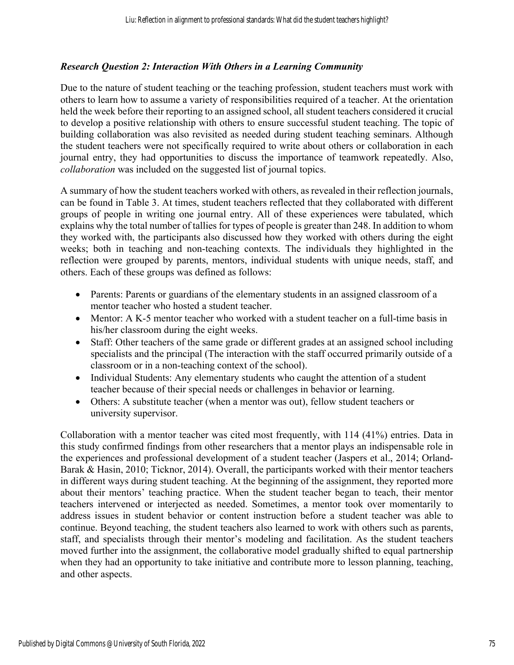#### *Research Question 2: Interaction With Others in a Learning Community*

Due to the nature of student teaching or the teaching profession, student teachers must work with others to learn how to assume a variety of responsibilities required of a teacher. At the orientation held the week before their reporting to an assigned school, all student teachers considered it crucial to develop a positive relationship with others to ensure successful student teaching. The topic of building collaboration was also revisited as needed during student teaching seminars. Although the student teachers were not specifically required to write about others or collaboration in each journal entry, they had opportunities to discuss the importance of teamwork repeatedly. Also, *collaboration* was included on the suggested list of journal topics.

A summary of how the student teachers worked with others, as revealed in their reflection journals, can be found in Table 3. At times, student teachers reflected that they collaborated with different groups of people in writing one journal entry. All of these experiences were tabulated, which explains why the total number of tallies for types of people is greater than 248. In addition to whom they worked with, the participants also discussed how they worked with others during the eight weeks; both in teaching and non-teaching contexts. The individuals they highlighted in the reflection were grouped by parents, mentors, individual students with unique needs, staff, and others. Each of these groups was defined as follows:

- Parents: Parents or guardians of the elementary students in an assigned classroom of a mentor teacher who hosted a student teacher.
- Mentor: A K-5 mentor teacher who worked with a student teacher on a full-time basis in his/her classroom during the eight weeks.
- Staff: Other teachers of the same grade or different grades at an assigned school including specialists and the principal (The interaction with the staff occurred primarily outside of a classroom or in a non-teaching context of the school).
- Individual Students: Any elementary students who caught the attention of a student teacher because of their special needs or challenges in behavior or learning.
- Others: A substitute teacher (when a mentor was out), fellow student teachers or university supervisor.

Collaboration with a mentor teacher was cited most frequently, with 114 (41%) entries. Data in this study confirmed findings from other researchers that a mentor plays an indispensable role in the experiences and professional development of a student teacher (Jaspers et al., 2014; Orland-Barak & Hasin, 2010; Ticknor, 2014). Overall, the participants worked with their mentor teachers in different ways during student teaching. At the beginning of the assignment, they reported more about their mentors' teaching practice. When the student teacher began to teach, their mentor teachers intervened or interjected as needed. Sometimes, a mentor took over momentarily to address issues in student behavior or content instruction before a student teacher was able to continue. Beyond teaching, the student teachers also learned to work with others such as parents, staff, and specialists through their mentor's modeling and facilitation. As the student teachers moved further into the assignment, the collaborative model gradually shifted to equal partnership when they had an opportunity to take initiative and contribute more to lesson planning, teaching, and other aspects.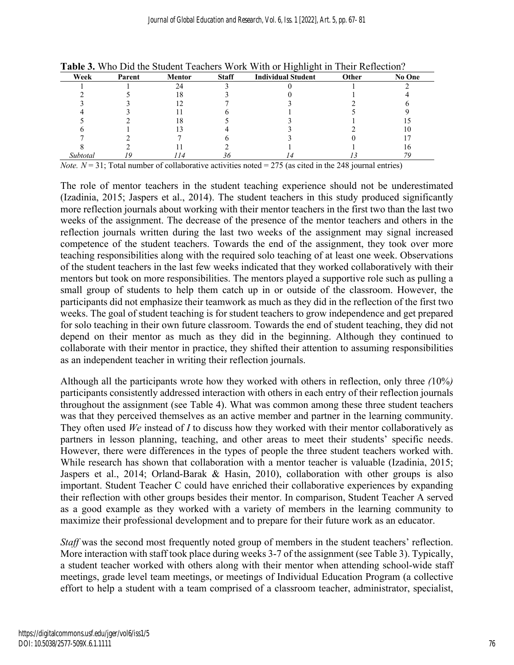| Week     | Parent | <b>Mentor</b> | <b>Staff</b> | <b>Individual Student</b> | Other | No One |
|----------|--------|---------------|--------------|---------------------------|-------|--------|
|          |        |               |              |                           |       |        |
|          |        |               |              |                           |       |        |
|          |        |               |              |                           |       |        |
|          |        |               |              |                           |       |        |
|          |        |               |              |                           |       |        |
|          |        |               |              |                           |       |        |
|          |        |               |              |                           |       |        |
|          |        |               |              |                           |       |        |
| Subtotal |        | 74            | 36           |                           |       |        |

**Table 3.** Who Did the Student Teachers Work With or Highlight in Their Reflection?

*Note.*  $N = 31$ ; Total number of collaborative activities noted = 275 (as cited in the 248 journal entries)

The role of mentor teachers in the student teaching experience should not be underestimated (Izadinia, 2015; Jaspers et al., 2014). The student teachers in this study produced significantly more reflection journals about working with their mentor teachers in the first two than the last two weeks of the assignment. The decrease of the presence of the mentor teachers and others in the reflection journals written during the last two weeks of the assignment may signal increased competence of the student teachers. Towards the end of the assignment, they took over more teaching responsibilities along with the required solo teaching of at least one week. Observations of the student teachers in the last few weeks indicated that they worked collaboratively with their mentors but took on more responsibilities. The mentors played a supportive role such as pulling a small group of students to help them catch up in or outside of the classroom. However, the participants did not emphasize their teamwork as much as they did in the reflection of the first two weeks. The goal of student teaching is for student teachers to grow independence and get prepared for solo teaching in their own future classroom. Towards the end of student teaching, they did not depend on their mentor as much as they did in the beginning. Although they continued to collaborate with their mentor in practice, they shifted their attention to assuming responsibilities as an independent teacher in writing their reflection journals.

Although all the participants wrote how they worked with others in reflection, only three *(*10%*)*  participants consistently addressed interaction with others in each entry of their reflection journals throughout the assignment (see Table 4). What was common among these three student teachers was that they perceived themselves as an active member and partner in the learning community. They often used *We* instead of *I* to discuss how they worked with their mentor collaboratively as partners in lesson planning, teaching, and other areas to meet their students' specific needs. However, there were differences in the types of people the three student teachers worked with. While research has shown that collaboration with a mentor teacher is valuable (Izadinia, 2015; Jaspers et al., 2014; Orland-Barak & Hasin, 2010), collaboration with other groups is also important. Student Teacher C could have enriched their collaborative experiences by expanding their reflection with other groups besides their mentor. In comparison, Student Teacher A served as a good example as they worked with a variety of members in the learning community to maximize their professional development and to prepare for their future work as an educator.

*Staff* was the second most frequently noted group of members in the student teachers' reflection. More interaction with staff took place during weeks 3-7 of the assignment (see Table 3). Typically, a student teacher worked with others along with their mentor when attending school-wide staff meetings, grade level team meetings, or meetings of Individual Education Program (a collective effort to help a student with a team comprised of a classroom teacher, administrator, specialist,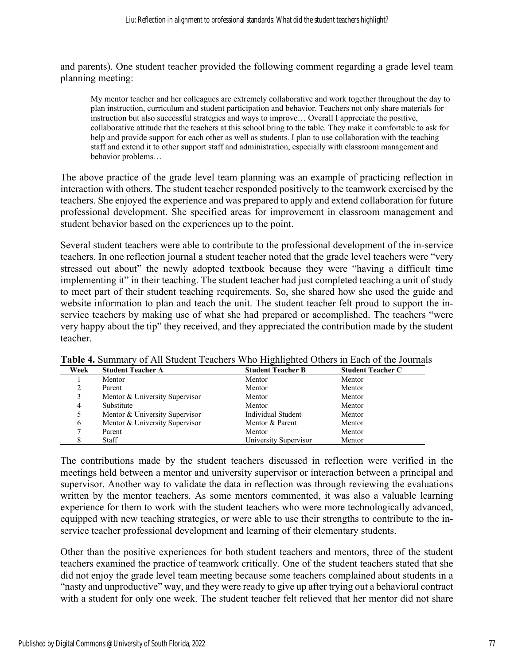and parents). One student teacher provided the following comment regarding a grade level team planning meeting:

My mentor teacher and her colleagues are extremely collaborative and work together throughout the day to plan instruction, curriculum and student participation and behavior. Teachers not only share materials for instruction but also successful strategies and ways to improve… Overall I appreciate the positive, collaborative attitude that the teachers at this school bring to the table. They make it comfortable to ask for help and provide support for each other as well as students. I plan to use collaboration with the teaching staff and extend it to other support staff and administration, especially with classroom management and behavior problems…

The above practice of the grade level team planning was an example of practicing reflection in interaction with others. The student teacher responded positively to the teamwork exercised by the teachers. She enjoyed the experience and was prepared to apply and extend collaboration for future professional development. She specified areas for improvement in classroom management and student behavior based on the experiences up to the point.

Several student teachers were able to contribute to the professional development of the in-service teachers. In one reflection journal a student teacher noted that the grade level teachers were "very stressed out about" the newly adopted textbook because they were "having a difficult time implementing it" in their teaching. The student teacher had just completed teaching a unit of study to meet part of their student teaching requirements. So, she shared how she used the guide and website information to plan and teach the unit. The student teacher felt proud to support the inservice teachers by making use of what she had prepared or accomplished. The teachers "were very happy about the tip" they received, and they appreciated the contribution made by the student teacher.

|      |                                | ັ                        |                          |
|------|--------------------------------|--------------------------|--------------------------|
| Week | <b>Student Teacher A</b>       | <b>Student Teacher B</b> | <b>Student Teacher C</b> |
|      | Mentor                         | Mentor                   | Mentor                   |
|      | Parent                         | Mentor                   | Mentor                   |
|      | Mentor & University Supervisor | Mentor                   | Mentor                   |
| 4    | Substitute                     | Mentor                   | Mentor                   |
|      | Mentor & University Supervisor | Individual Student       | Mentor                   |
| 6    | Mentor & University Supervisor | Mentor & Parent          | Mentor                   |
|      | Parent                         | Mentor                   | Mentor                   |
|      | Staff                          | University Supervisor    | Mentor                   |

**Table 4.** Summary of All Student Teachers Who Highlighted Others in Each of the Journals

The contributions made by the student teachers discussed in reflection were verified in the meetings held between a mentor and university supervisor or interaction between a principal and supervisor. Another way to validate the data in reflection was through reviewing the evaluations written by the mentor teachers. As some mentors commented, it was also a valuable learning experience for them to work with the student teachers who were more technologically advanced, equipped with new teaching strategies, or were able to use their strengths to contribute to the inservice teacher professional development and learning of their elementary students.

Other than the positive experiences for both student teachers and mentors, three of the student teachers examined the practice of teamwork critically. One of the student teachers stated that she did not enjoy the grade level team meeting because some teachers complained about students in a "nasty and unproductive" way, and they were ready to give up after trying out a behavioral contract with a student for only one week. The student teacher felt relieved that her mentor did not share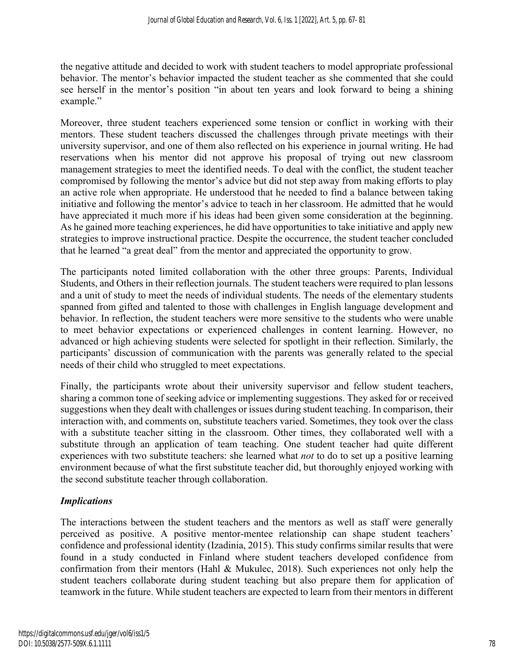the negative attitude and decided to work with student teachers to model appropriate professional behavior. The mentor's behavior impacted the student teacher as she commented that she could see herself in the mentor's position "in about ten years and look forward to being a shining example."

Moreover, three student teachers experienced some tension or conflict in working with their mentors. These student teachers discussed the challenges through private meetings with their university supervisor, and one of them also reflected on his experience in journal writing. He had reservations when his mentor did not approve his proposal of trying out new classroom management strategies to meet the identified needs. To deal with the conflict, the student teacher compromised by following the mentor's advice but did not step away from making efforts to play an active role when appropriate. He understood that he needed to find a balance between taking initiative and following the mentor's advice to teach in her classroom. He admitted that he would have appreciated it much more if his ideas had been given some consideration at the beginning. As he gained more teaching experiences, he did have opportunities to take initiative and apply new strategies to improve instructional practice. Despite the occurrence, the student teacher concluded that he learned "a great deal" from the mentor and appreciated the opportunity to grow.

The participants noted limited collaboration with the other three groups: Parents, Individual Students, and Others in their reflection journals. The student teachers were required to plan lessons and a unit of study to meet the needs of individual students. The needs of the elementary students spanned from gifted and talented to those with challenges in English language development and behavior. In reflection, the student teachers were more sensitive to the students who were unable to meet behavior expectations or experienced challenges in content learning. However, no advanced or high achieving students were selected for spotlight in their reflection. Similarly, the participants' discussion of communication with the parents was generally related to the special needs of their child who struggled to meet expectations.

Finally, the participants wrote about their university supervisor and fellow student teachers, sharing a common tone of seeking advice or implementing suggestions. They asked for or received suggestions when they dealt with challenges or issues during student teaching. In comparison, their interaction with, and comments on, substitute teachers varied. Sometimes, they took over the class with a substitute teacher sitting in the classroom. Other times, they collaborated well with a substitute through an application of team teaching. One student teacher had quite different experiences with two substitute teachers: she learned what *not* to do to set up a positive learning environment because of what the first substitute teacher did, but thoroughly enjoyed working with the second substitute teacher through collaboration.

#### *Implications*

The interactions between the student teachers and the mentors as well as staff were generally perceived as positive. A positive mentor-mentee relationship can shape student teachers' confidence and professional identity (Izadinia, 2015). This study confirms similar results that were found in a study conducted in Finland where student teachers developed confidence from confirmation from their mentors (Hahl & Mukulec, 2018). Such experiences not only help the student teachers collaborate during student teaching but also prepare them for application of teamwork in the future. While student teachers are expected to learn from their mentors in different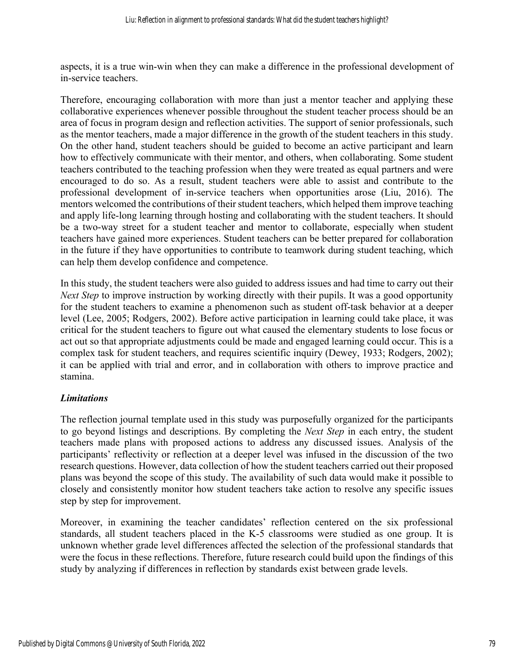aspects, it is a true win-win when they can make a difference in the professional development of in-service teachers.

Therefore, encouraging collaboration with more than just a mentor teacher and applying these collaborative experiences whenever possible throughout the student teacher process should be an area of focus in program design and reflection activities. The support of senior professionals, such as the mentor teachers, made a major difference in the growth of the student teachers in this study. On the other hand, student teachers should be guided to become an active participant and learn how to effectively communicate with their mentor, and others, when collaborating. Some student teachers contributed to the teaching profession when they were treated as equal partners and were encouraged to do so. As a result, student teachers were able to assist and contribute to the professional development of in-service teachers when opportunities arose (Liu, 2016). The mentors welcomed the contributions of their student teachers, which helped them improve teaching and apply life-long learning through hosting and collaborating with the student teachers. It should be a two-way street for a student teacher and mentor to collaborate, especially when student teachers have gained more experiences. Student teachers can be better prepared for collaboration in the future if they have opportunities to contribute to teamwork during student teaching, which can help them develop confidence and competence.

In this study, the student teachers were also guided to address issues and had time to carry out their *Next Step* to improve instruction by working directly with their pupils. It was a good opportunity for the student teachers to examine a phenomenon such as student off-task behavior at a deeper level (Lee, 2005; Rodgers, 2002). Before active participation in learning could take place, it was critical for the student teachers to figure out what caused the elementary students to lose focus or act out so that appropriate adjustments could be made and engaged learning could occur. This is a complex task for student teachers, and requires scientific inquiry (Dewey, 1933; Rodgers, 2002); it can be applied with trial and error, and in collaboration with others to improve practice and stamina.

#### *Limitations*

The reflection journal template used in this study was purposefully organized for the participants to go beyond listings and descriptions. By completing the *Next Step* in each entry, the student teachers made plans with proposed actions to address any discussed issues. Analysis of the participants' reflectivity or reflection at a deeper level was infused in the discussion of the two research questions. However, data collection of how the student teachers carried out their proposed plans was beyond the scope of this study. The availability of such data would make it possible to closely and consistently monitor how student teachers take action to resolve any specific issues step by step for improvement.

Moreover, in examining the teacher candidates' reflection centered on the six professional standards, all student teachers placed in the K-5 classrooms were studied as one group. It is unknown whether grade level differences affected the selection of the professional standards that were the focus in these reflections. Therefore, future research could build upon the findings of this study by analyzing if differences in reflection by standards exist between grade levels.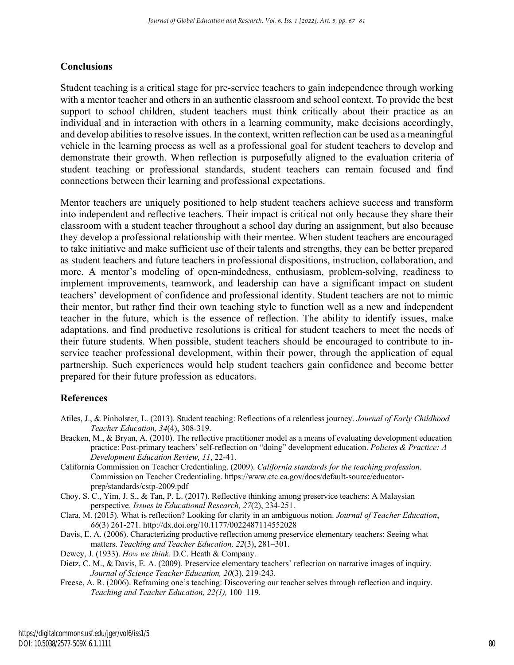#### **Conclusions**

Student teaching is a critical stage for pre-service teachers to gain independence through working with a mentor teacher and others in an authentic classroom and school context. To provide the best support to school children, student teachers must think critically about their practice as an individual and in interaction with others in a learning community, make decisions accordingly, and develop abilities to resolve issues. In the context, written reflection can be used as a meaningful vehicle in the learning process as well as a professional goal for student teachers to develop and demonstrate their growth. When reflection is purposefully aligned to the evaluation criteria of student teaching or professional standards, student teachers can remain focused and find connections between their learning and professional expectations.

Mentor teachers are uniquely positioned to help student teachers achieve success and transform into independent and reflective teachers. Their impact is critical not only because they share their classroom with a student teacher throughout a school day during an assignment, but also because they develop a professional relationship with their mentee. When student teachers are encouraged to take initiative and make sufficient use of their talents and strengths, they can be better prepared as student teachers and future teachers in professional dispositions, instruction, collaboration, and more. A mentor's modeling of open-mindedness, enthusiasm, problem-solving, readiness to implement improvements, teamwork, and leadership can have a significant impact on student teachers' development of confidence and professional identity. Student teachers are not to mimic their mentor, but rather find their own teaching style to function well as a new and independent teacher in the future, which is the essence of reflection. The ability to identify issues, make adaptations, and find productive resolutions is critical for student teachers to meet the needs of their future students. When possible, student teachers should be encouraged to contribute to inservice teacher professional development, within their power, through the application of equal partnership. Such experiences would help student teachers gain confidence and become better prepared for their future profession as educators.

#### **References**

- Atiles, J., & Pinholster, L. (2013). Student teaching: Reflections of a relentless journey. *Journal of Early Childhood Teacher Education, 34*(4), 308-319.
- Bracken, M., & Bryan, A. (2010). The reflective practitioner model as a means of evaluating development education practice: Post-primary teachers' self-reflection on "doing" development education. *Policies & Practice: A Development Education Review, 11*, 22-41.
- California Commission on Teacher Credentialing. (2009). *California standards for the teaching profession*. Commission on Teacher Credentialing. https://www.ctc.ca.gov/docs/default-source/educatorprep/standards/cstp-2009.pdf

Choy, S. C., Yim, J. S., & Tan, P. L. (2017). Reflective thinking among preservice teachers: A Malaysian perspective. *Issues in Educational Research, 27*(2), 234-251.

Clara, M. (2015). What is reflection? Looking for clarity in an ambiguous notion. *Journal of Teacher Education*, *66*(3) 261-271. http://dx.doi.org/10.1177/0022487114552028

Davis, E. A. (2006). Characterizing productive reflection among preservice elementary teachers: Seeing what matters. *Teaching and Teacher Education, 22*(3), 281–301.

Dewey, J. (1933). *How we think.* D.C. Heath & Company.

Dietz, C. M., & Davis, E. A. (2009). Preservice elementary teachers' reflection on narrative images of inquiry. *Journal of Science Teacher Education, 20*(3), 219-243.

Freese, A. R. (2006). Reframing one's teaching: Discovering our teacher selves through reflection and inquiry. *Teaching and Teacher Education, 22(1),* 100–119.